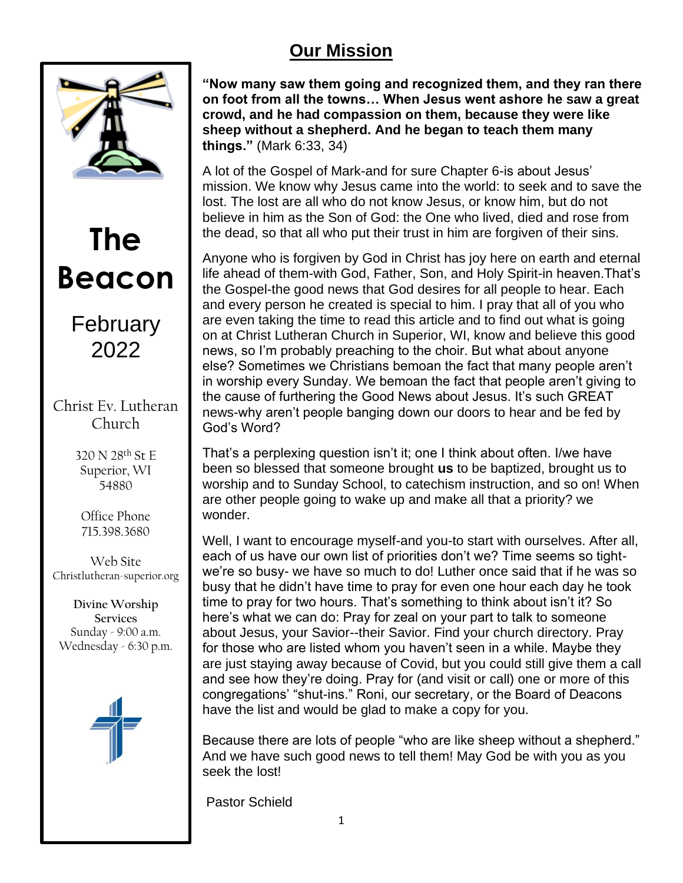## **Our Mission**



# **The Beacon**

## February 2022

## Christ Ev. Lutheran Church

320 N 28th St E Superior, WI 54880

Office Phone 715.398.3680

Web Site Christlutheran-superior.org

**Divine Worship Services** Sunday - 9:00 a.m. Wednesday - 6:30 p.m.



**"Now many saw them going and recognized them, and they ran there on foot from all the towns… When Jesus went ashore he saw a great crowd, and he had compassion on them, because they were like sheep without a shepherd. And he began to teach them many things."** (Mark 6:33, 34)

A lot of the Gospel of Mark-and for sure Chapter 6-is about Jesus' mission. We know why Jesus came into the world: to seek and to save the lost. The lost are all who do not know Jesus, or know him, but do not believe in him as the Son of God: the One who lived, died and rose from the dead, so that all who put their trust in him are forgiven of their sins.

Anyone who is forgiven by God in Christ has joy here on earth and eternal life ahead of them-with God, Father, Son, and Holy Spirit-in heaven.That's the Gospel-the good news that God desires for all people to hear. Each and every person he created is special to him. I pray that all of you who are even taking the time to read this article and to find out what is going on at Christ Lutheran Church in Superior, WI, know and believe this good news, so I'm probably preaching to the choir. But what about anyone else? Sometimes we Christians bemoan the fact that many people aren't in worship every Sunday. We bemoan the fact that people aren't giving to the cause of furthering the Good News about Jesus. It's such GREAT news-why aren't people banging down our doors to hear and be fed by God's Word?

That's a perplexing question isn't it; one I think about often. I/we have been so blessed that someone brought **us** to be baptized, brought us to worship and to Sunday School, to catechism instruction, and so on! When are other people going to wake up and make all that a priority? we wonder.

Well, I want to encourage myself-and you-to start with ourselves. After all, each of us have our own list of priorities don't we? Time seems so tightwe're so busy- we have so much to do! Luther once said that if he was so busy that he didn't have time to pray for even one hour each day he took time to pray for two hours. That's something to think about isn't it? So here's what we can do: Pray for zeal on your part to talk to someone about Jesus, your Savior--their Savior. Find your church directory. Pray for those who are listed whom you haven't seen in a while. Maybe they are just staying away because of Covid, but you could still give them a call and see how they're doing. Pray for (and visit or call) one or more of this congregations' "shut-ins." Roni, our secretary, or the Board of Deacons have the list and would be glad to make a copy for you.

Because there are lots of people "who are like sheep without a shepherd." And we have such good news to tell them! May God be with you as you seek the lost!

Pastor Schield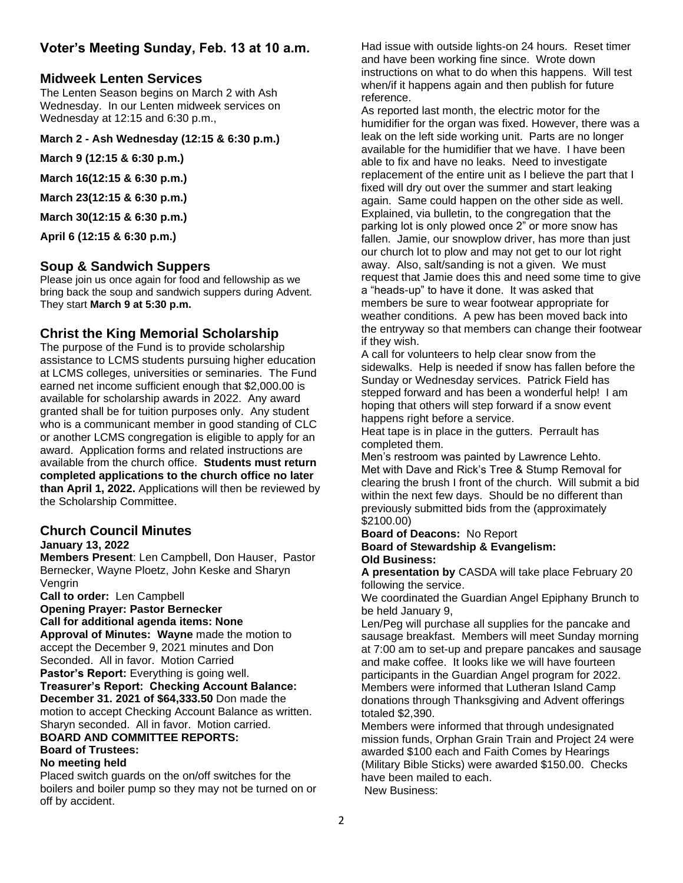## **Voter's Meeting Sunday, Feb. 13 at 10 a.m.**

## **Midweek Lenten Services**

The Lenten Season begins on March 2 with Ash Wednesday. In our Lenten midweek services on Wednesday at 12:15 and 6:30 p.m.,

#### **March 2 - Ash Wednesday (12:15 & 6:30 p.m.)**

**March 9 (12:15 & 6:30 p.m.)**

**March 16(12:15 & 6:30 p.m.)**

**March 23(12:15 & 6:30 p.m.)**

**March 30(12:15 & 6:30 p.m.)**

**April 6 (12:15 & 6:30 p.m.)**

## **Soup & Sandwich Suppers**

Please join us once again for food and fellowship as we bring back the soup and sandwich suppers during Advent. They start **March 9 at 5:30 p.m.**

## **Christ the King Memorial Scholarship**

The purpose of the Fund is to provide scholarship assistance to LCMS students pursuing higher education at LCMS colleges, universities or seminaries. The Fund earned net income sufficient enough that \$2,000.00 is available for scholarship awards in 2022. Any award granted shall be for tuition purposes only. Any student who is a communicant member in good standing of CLC or another LCMS congregation is eligible to apply for an award. Application forms and related instructions are available from the church office. **Students must return completed applications to the church office no later than April 1, 2022.** Applications will then be reviewed by the Scholarship Committee.

#### **Church Council Minutes January 13, 2022**

**Members Present**: Len Campbell, Don Hauser, Pastor Bernecker, Wayne Ploetz, John Keske and Sharyn Vengrin

**Call to order:** Len Campbell

**Opening Prayer: Pastor Bernecker**

**Call for additional agenda items: None** 

**Approval of Minutes: Wayne** made the motion to accept the December 9, 2021 minutes and Don Seconded. All in favor. Motion Carried

**Pastor's Report:** Everything is going well.

**Treasurer's Report: Checking Account Balance:** 

**December 31. 2021 of \$64,333.50** Don made the motion to accept Checking Account Balance as written. Sharyn seconded. All in favor. Motion carried.

#### **BOARD AND COMMITTEE REPORTS: Board of Trustees:**

## **No meeting held**

Placed switch guards on the on/off switches for the boilers and boiler pump so they may not be turned on or off by accident.

Had issue with outside lights-on 24 hours. Reset timer and have been working fine since. Wrote down instructions on what to do when this happens. Will test when/if it happens again and then publish for future reference.

As reported last month, the electric motor for the humidifier for the organ was fixed. However, there was a leak on the left side working unit. Parts are no longer available for the humidifier that we have. I have been able to fix and have no leaks. Need to investigate replacement of the entire unit as I believe the part that I fixed will dry out over the summer and start leaking again. Same could happen on the other side as well. Explained, via bulletin, to the congregation that the parking lot is only plowed once 2" or more snow has fallen. Jamie, our snowplow driver, has more than just our church lot to plow and may not get to our lot right away. Also, salt/sanding is not a given. We must request that Jamie does this and need some time to give a "heads-up" to have it done. It was asked that members be sure to wear footwear appropriate for weather conditions. A pew has been moved back into the entryway so that members can change their footwear if they wish.

A call for volunteers to help clear snow from the sidewalks. Help is needed if snow has fallen before the Sunday or Wednesday services. Patrick Field has stepped forward and has been a wonderful help! I am hoping that others will step forward if a snow event happens right before a service.

Heat tape is in place in the gutters. Perrault has completed them.

Men's restroom was painted by Lawrence Lehto. Met with Dave and Rick's Tree & Stump Removal for clearing the brush I front of the church. Will submit a bid within the next few days. Should be no different than previously submitted bids from the (approximately \$2100.00)

#### **Board of Deacons:** No Report **Board of Stewardship & Evangelism: Old Business:**

**A presentation by** CASDA will take place February 20 following the service.

We coordinated the Guardian Angel Epiphany Brunch to be held January 9,

Len/Peg will purchase all supplies for the pancake and sausage breakfast. Members will meet Sunday morning at 7:00 am to set-up and prepare pancakes and sausage and make coffee. It looks like we will have fourteen participants in the Guardian Angel program for 2022. Members were informed that Lutheran Island Camp donations through Thanksgiving and Advent offerings totaled \$2,390.

Members were informed that through undesignated mission funds, Orphan Grain Train and Project 24 were awarded \$100 each and Faith Comes by Hearings (Military Bible Sticks) were awarded \$150.00. Checks have been mailed to each. New Business: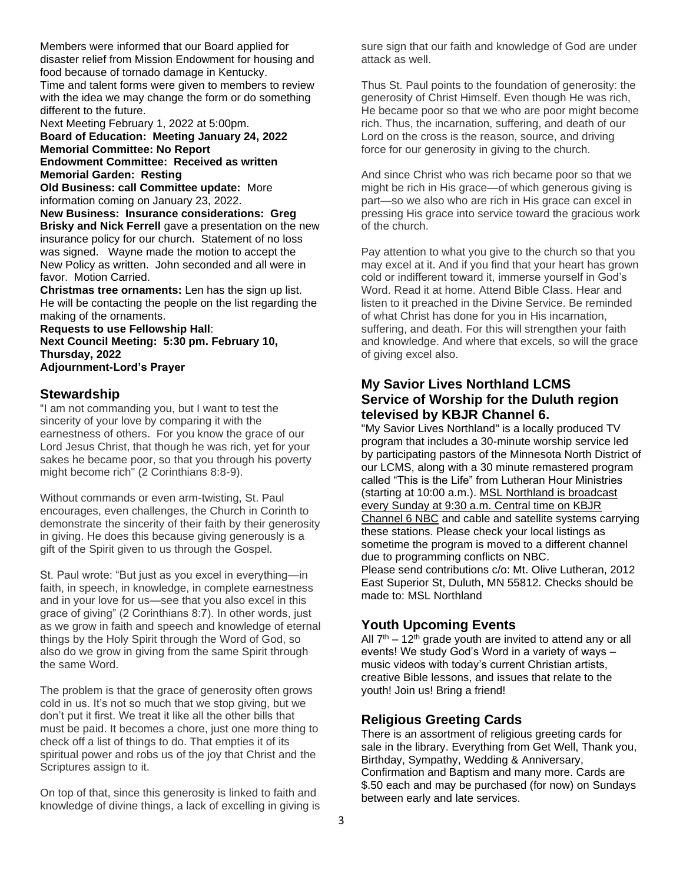Members were informed that our Board applied for disaster relief from Mission Endowment for housing and food because of tornado damage in Kentucky. Time and talent forms were given to members to review with the idea we may change the form or do something different to the future.

Next Meeting February 1, 2022 at 5:00pm. **Board of Education: Meeting January 24, 2022 Memorial Committee: No Report Endowment Committee: Received as written Memorial Garden: Resting**

**Old Business: call Committee update:** More information coming on January 23, 2022.

**New Business: Insurance considerations: Greg Brisky and Nick Ferrell** gave a presentation on the new insurance policy for our church. Statement of no loss was signed. Wayne made the motion to accept the New Policy as written. John seconded and all were in favor. Motion Carried.

**Christmas tree ornaments:** Len has the sign up list. He will be contacting the people on the list regarding the making of the ornaments.

**Requests to use Fellowship Hall**: **Next Council Meeting: 5:30 pm. February 10, Thursday, 2022 Adjournment-Lord's Prayer**

### **Stewardship**

"I am not commanding you, but I want to test the sincerity of your love by comparing it with the earnestness of others. For you know the grace of our Lord Jesus Christ, that though he was rich, yet for your sakes he became poor, so that you through his poverty might become rich" (2 Corinthians 8:8-9).

Without commands or even arm-twisting, St. Paul encourages, even challenges, the Church in Corinth to demonstrate the sincerity of their faith by their generosity in giving. He does this because giving generously is a gift of the Spirit given to us through the Gospel.

St. Paul wrote: "But just as you excel in everything—in faith, in speech, in knowledge, in complete earnestness and in your love for us—see that you also excel in this grace of giving" (2 Corinthians 8:7). In other words, just as we grow in faith and speech and knowledge of eternal things by the Holy Spirit through the Word of God, so also do we grow in giving from the same Spirit through the same Word.

The problem is that the grace of generosity often grows cold in us. It's not so much that we stop giving, but we don't put it first. We treat it like all the other bills that must be paid. It becomes a chore, just one more thing to check off a list of things to do. That empties it of its spiritual power and robs us of the joy that Christ and the Scriptures assign to it.

On top of that, since this generosity is linked to faith and knowledge of divine things, a lack of excelling in giving is sure sign that our faith and knowledge of God are under attack as well.

Thus St. Paul points to the foundation of generosity: the generosity of Christ Himself. Even though He was rich, He became poor so that we who are poor might become rich. Thus, the incarnation, suffering, and death of our Lord on the cross is the reason, source, and driving force for our generosity in giving to the church.

And since Christ who was rich became poor so that we might be rich in His grace—of which generous giving is part—so we also who are rich in His grace can excel in pressing His grace into service toward the gracious work of the church.

Pay attention to what you give to the church so that you may excel at it. And if you find that your heart has grown cold or indifferent toward it, immerse yourself in God's Word. Read it at home. Attend Bible Class. Hear and listen to it preached in the Divine Service. Be reminded of what Christ has done for you in His incarnation, suffering, and death. For this will strengthen your faith and knowledge. And where that excels, so will the grace of giving excel also.

## **My Savior Lives Northland LCMS Service of Worship for the Duluth region televised by KBJR Channel 6.**

"My Savior Lives Northland" is a locally produced TV program that includes a 30-minute worship service led by participating pastors of the Minnesota North District of our LCMS, along with a 30 minute remastered program called "This is the Life" from Lutheran Hour Ministries (starting at 10:00 a.m.). MSL Northland is broadcast every Sunday at 9:30 a.m. Central time on KBJR Channel 6 NBC and cable and satellite systems carrying these stations. Please check your local listings as sometime the program is moved to a different channel due to programming conflicts on NBC. Please send contributions c/o: Mt. Olive Lutheran, 2012

East Superior St, Duluth, MN 55812. Checks should be made to: MSL Northland

## **Youth Upcoming Events**

All  $7<sup>th</sup> - 12<sup>th</sup>$  grade youth are invited to attend any or all events! We study God's Word in a variety of ways – music videos with today's current Christian artists, creative Bible lessons, and issues that relate to the youth! Join us! Bring a friend!

## **Religious Greeting Cards**

There is an assortment of religious greeting cards for sale in the library. Everything from Get Well, Thank you, Birthday, Sympathy, Wedding & Anniversary, Confirmation and Baptism and many more. Cards are \$.50 each and may be purchased (for now) on Sundays between early and late services.